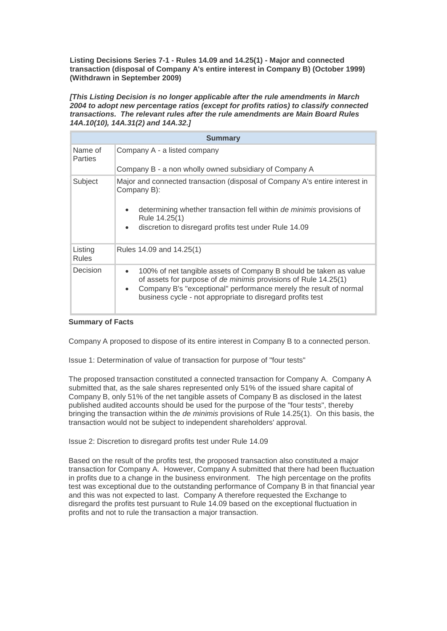**Listing Decisions Series 7-1 - Rules 14.09 and 14.25(1) - Major and connected transaction (disposal of Company A's entire interest in Company B) (October 1999) (Withdrawn in September 2009)**

*[This Listing Decision is no longer applicable after the rule amendments in March 2004 to adopt new percentage ratios (except for profits ratios) to classify connected transactions. The relevant rules after the rule amendments are Main Board Rules 14A.10(10), 14A.31(2) and 14A.32.]*

| <b>Summary</b>          |                                                                                                                                                                                                                                                                         |
|-------------------------|-------------------------------------------------------------------------------------------------------------------------------------------------------------------------------------------------------------------------------------------------------------------------|
| Name of<br>Parties      | Company A - a listed company                                                                                                                                                                                                                                            |
|                         | Company B - a non wholly owned subsidiary of Company A                                                                                                                                                                                                                  |
| Subject                 | Major and connected transaction (disposal of Company A's entire interest in<br>Company B):                                                                                                                                                                              |
|                         | determining whether transaction fell within <i>de minimis</i> provisions of<br>Rule 14.25(1)<br>discretion to disregard profits test under Rule 14.09                                                                                                                   |
| Listing<br><b>Rules</b> | Rules 14.09 and 14.25(1)                                                                                                                                                                                                                                                |
| Decision                | 100% of net tangible assets of Company B should be taken as value<br>of assets for purpose of de minimis provisions of Rule 14.25(1)<br>Company B's "exceptional" performance merely the result of normal<br>business cycle - not appropriate to disregard profits test |

# **Summary of Facts**

Company A proposed to dispose of its entire interest in Company B to a connected person.

Issue 1: Determination of value of transaction for purpose of "four tests"

The proposed transaction constituted a connected transaction for Company A. Company A submitted that, as the sale shares represented only 51% of the issued share capital of Company B, only 51% of the net tangible assets of Company B as disclosed in the latest published audited accounts should be used for the purpose of the "four tests", thereby bringing the transaction within the *de minimis* provisions of Rule 14.25(1). On this basis, the transaction would not be subject to independent shareholders' approval.

Issue 2: Discretion to disregard profits test under Rule 14.09

Based on the result of the profits test, the proposed transaction also constituted a major transaction for Company A. However, Company A submitted that there had been fluctuation in profits due to a change in the business environment. The high percentage on the profits test was exceptional due to the outstanding performance of Company B in that financial year and this was not expected to last. Company A therefore requested the Exchange to disregard the profits test pursuant to Rule 14.09 based on the exceptional fluctuation in profits and not to rule the transaction a major transaction.